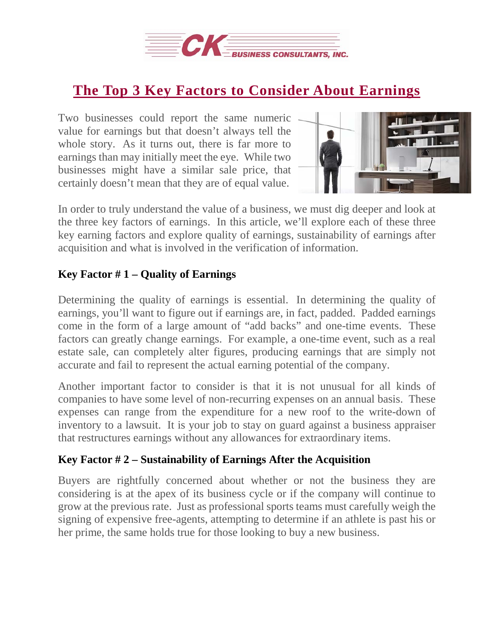

## **The Top 3 Key Factors to Consider About [Earnings](http://deal-studio.com/sure-deal-completed/)**

Two businesses could report the same numeric value for earnings but that doesn't always tell the whole story. As it turns out, there is far more to earnings than may initially meet the eye. While two businesses might have a similar sale price, that certainly doesn't mean that they are of equal value.



In order to truly understand the value of a business, we must dig deeper and look at the three key factors of earnings. In this article, we'll explore each of these three key earning factors and explore quality of earnings, sustainability of earnings after acquisition and what is involved in the verification of information.

## **Key Factor # 1 – Quality of Earnings**

Determining the quality of earnings is essential. In determining the quality of earnings, you'll want to figure out if earnings are, in fact, padded. Padded earnings come in the form of a large amount of "add backs" and one-time events. These factors can greatly change earnings. For example, a one-time event, such as a real estate sale, can completely alter figures, producing earnings that are simply not accurate and fail to represent the actual earning potential of the company.

Another important factor to consider is that it is not unusual for all kinds of companies to have some level of non-recurring expenses on an annual basis. These expenses can range from the expenditure for a new roof to the write-down of inventory to a lawsuit. It is your job to stay on guard against a business appraiser that restructures earnings without any allowances for extraordinary items.

## **Key Factor # 2 – Sustainability of Earnings After the Acquisition**

Buyers are rightfully concerned about whether or not the business they are considering is at the apex of its business cycle or if the company will continue to grow at the previous rate. Just as professional sports teams must carefully weigh the signing of expensive free-agents, attempting to determine if an athlete is past his or her prime, the same holds true for those looking to buy a new business.